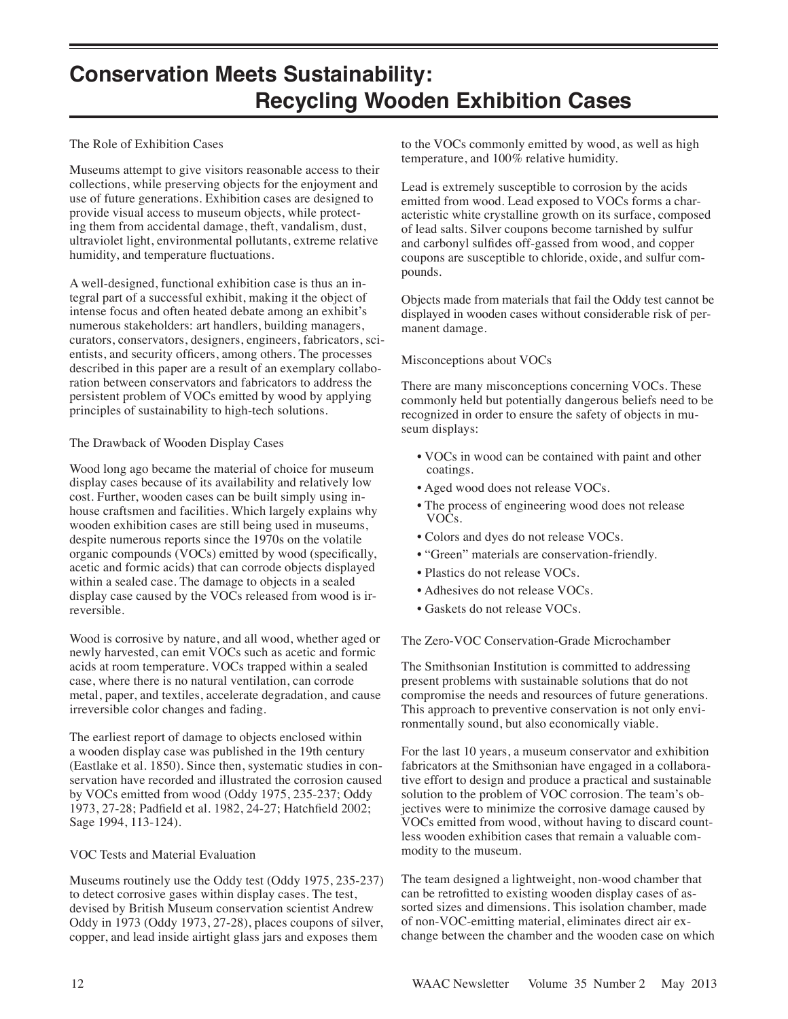# **Conservation Meets Sustainability: Recycling Wooden Exhibition Cases**

## The Role of Exhibition Cases

Museums attempt to give visitors reasonable access to their collections, while preserving objects for the enjoyment and use of future generations. Exhibition cases are designed to provide visual access to museum objects, while protecting them from accidental damage, theft, vandalism, dust, ultraviolet light, environmental pollutants, extreme relative humidity, and temperature fluctuations.

A well-designed, functional exhibition case is thus an integral part of a successful exhibit, making it the object of intense focus and often heated debate among an exhibit's numerous stakeholders: art handlers, building managers, curators, conservators, designers, engineers, fabricators, scientists, and security officers, among others. The processes described in this paper are a result of an exemplary collaboration between conservators and fabricators to address the persistent problem of VOCs emitted by wood by applying principles of sustainability to high-tech solutions.

# The Drawback of Wooden Display Cases

Wood long ago became the material of choice for museum display cases because of its availability and relatively low cost. Further, wooden cases can be built simply using inhouse craftsmen and facilities. Which largely explains why wooden exhibition cases are still being used in museums, despite numerous reports since the 1970s on the volatile organic compounds (VOCs) emitted by wood (specifically, acetic and formic acids) that can corrode objects displayed within a sealed case. The damage to objects in a sealed display case caused by the VOCs released from wood is irreversible.

Wood is corrosive by nature, and all wood, whether aged or newly harvested, can emit VOCs such as acetic and formic acids at room temperature. VOCs trapped within a sealed case, where there is no natural ventilation, can corrode metal, paper, and textiles, accelerate degradation, and cause irreversible color changes and fading.

The earliest report of damage to objects enclosed within a wooden display case was published in the 19th century (Eastlake et al. 1850). Since then, systematic studies in conservation have recorded and illustrated the corrosion caused by VOCs emitted from wood (Oddy 1975, 235-237; Oddy 1973, 27-28; Padfield et al. 1982, 24-27; Hatchfield 2002; Sage 1994, 113-124).

### VOC Tests and Material Evaluation

Museums routinely use the Oddy test (Oddy 1975, 235-237) to detect corrosive gases within display cases. The test, devised by British Museum conservation scientist Andrew Oddy in 1973 (Oddy 1973, 27-28), places coupons of silver, copper, and lead inside airtight glass jars and exposes them

to the VOCs commonly emitted by wood, as well as high temperature, and 100% relative humidity.

Lead is extremely susceptible to corrosion by the acids emitted from wood. Lead exposed to VOCs forms a characteristic white crystalline growth on its surface, composed of lead salts. Silver coupons become tarnished by sulfur and carbonyl sulfides off-gassed from wood, and copper coupons are susceptible to chloride, oxide, and sulfur compounds.

Objects made from materials that fail the Oddy test cannot be displayed in wooden cases without considerable risk of permanent damage.

# Misconceptions about VOCs

There are many misconceptions concerning VOCs. These commonly held but potentially dangerous beliefs need to be recognized in order to ensure the safety of objects in museum displays:

- VOCs in wood can be contained with paint and other coatings.
- Aged wood does not release VOCs.
- The process of engineering wood does not release VOCs.
- Colors and dyes do not release VOCs.
- "Green" materials are conservation-friendly.
- Plastics do not release VOCs.
- Adhesives do not release VOCs.
- Gaskets do not release VOCs.

The Zero-VOC Conservation-Grade Microchamber

The Smithsonian Institution is committed to addressing present problems with sustainable solutions that do not compromise the needs and resources of future generations. This approach to preventive conservation is not only environmentally sound, but also economically viable.

For the last 10 years, a museum conservator and exhibition fabricators at the Smithsonian have engaged in a collaborative effort to design and produce a practical and sustainable solution to the problem of VOC corrosion. The team's objectives were to minimize the corrosive damage caused by VOCs emitted from wood, without having to discard countless wooden exhibition cases that remain a valuable commodity to the museum.

The team designed a lightweight, non-wood chamber that can be retrofitted to existing wooden display cases of assorted sizes and dimensions. This isolation chamber, made of non-VOC-emitting material, eliminates direct air exchange between the chamber and the wooden case on which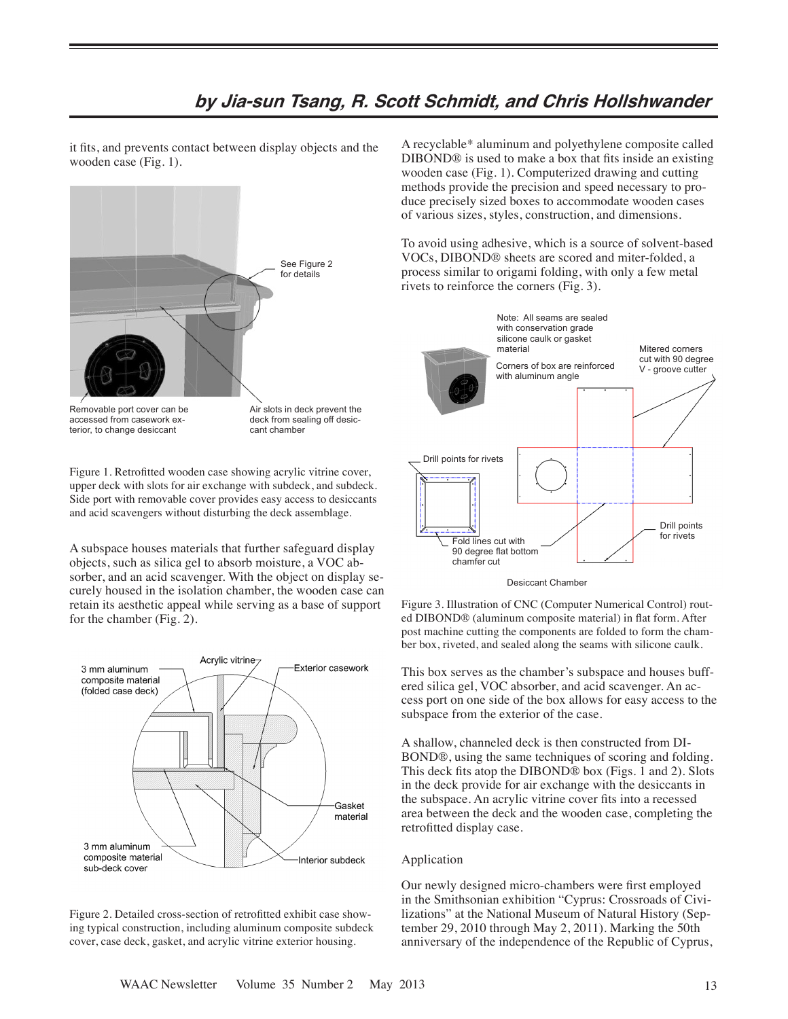# **by Jia-sun Tsang, R. Scott Schmidt, and Chris Hollshwander**

it fits, and prevents contact between display objects and the wooden case (Fig. 1).



Removable port cover can be accessed from casework exterior, to change desiccant

Air slots in deck prevent the deck from sealing off desiccant chamber

Figure 1. Retrofitted wooden case showing acrylic vitrine cover, upper deck with slots for air exchange with subdeck, and subdeck. Side port with removable cover provides easy access to desiccants and acid scavengers without disturbing the deck assemblage.

A subspace houses materials that further safeguard display objects, such as silica gel to absorb moisture, a VOC absorber, and an acid scavenger. With the object on display securely housed in the isolation chamber, the wooden case can retain its aesthetic appeal while serving as a base of support for the chamber (Fig. 2).



Figure 2. Detailed cross-section of retrofitted exhibit case showing typical construction, including aluminum composite subdeck cover, case deck, gasket, and acrylic vitrine exterior housing.

A recyclable\* aluminum and polyethylene composite called DIBOND® is used to make a box that fits inside an existing wooden case (Fig. 1). Computerized drawing and cutting methods provide the precision and speed necessary to produce precisely sized boxes to accommodate wooden cases of various sizes, styles, construction, and dimensions.

To avoid using adhesive, which is a source of solvent-based VOCs, DIBOND® sheets are scored and miter-folded, a process similar to origami folding, with only a few metal rivets to reinforce the corners (Fig. 3).



Desiccant Chamber

Figure 3. Illustration of CNC (Computer Numerical Control) routed DIBOND® (aluminum composite material) in flat form. After post machine cutting the components are folded to form the chamber box, riveted, and sealed along the seams with silicone caulk.

This box serves as the chamber's subspace and houses buffered silica gel, VOC absorber, and acid scavenger. An access port on one side of the box allows for easy access to the subspace from the exterior of the case.

A shallow, channeled deck is then constructed from DI-BOND®, using the same techniques of scoring and folding. This deck fits atop the DIBOND® box (Figs. 1 and 2). Slots in the deck provide for air exchange with the desiccants in the subspace. An acrylic vitrine cover fits into a recessed area between the deck and the wooden case, completing the retrofitted display case.

#### Application

Our newly designed micro-chambers were first employed in the Smithsonian exhibition "Cyprus: Crossroads of Civilizations" at the National Museum of Natural History (September 29, 2010 through May 2, 2011). Marking the 50th anniversary of the independence of the Republic of Cyprus,